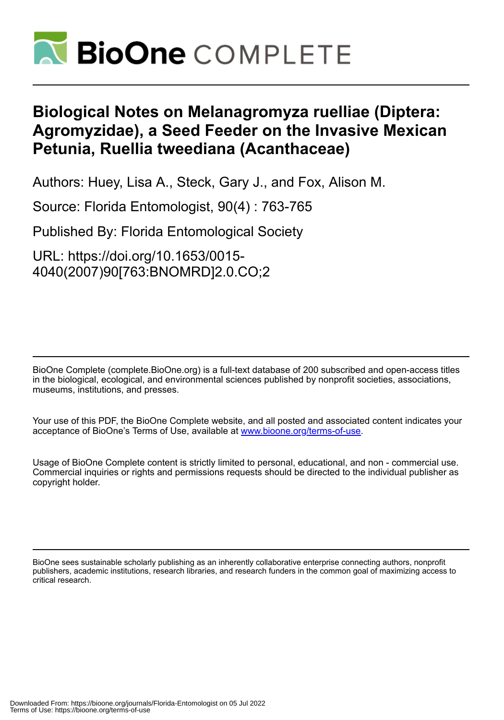

# **Biological Notes on Melanagromyza ruelliae (Diptera: Agromyzidae), a Seed Feeder on the Invasive Mexican Petunia, Ruellia tweediana (Acanthaceae)**

Authors: Huey, Lisa A., Steck, Gary J., and Fox, Alison M.

Source: Florida Entomologist, 90(4) : 763-765

Published By: Florida Entomological Society

URL: https://doi.org/10.1653/0015- 4040(2007)90[763:BNOMRD]2.0.CO;2

BioOne Complete (complete.BioOne.org) is a full-text database of 200 subscribed and open-access titles in the biological, ecological, and environmental sciences published by nonprofit societies, associations, museums, institutions, and presses.

Your use of this PDF, the BioOne Complete website, and all posted and associated content indicates your acceptance of BioOne's Terms of Use, available at www.bioone.org/terms-of-use.

Usage of BioOne Complete content is strictly limited to personal, educational, and non - commercial use. Commercial inquiries or rights and permissions requests should be directed to the individual publisher as copyright holder.

BioOne sees sustainable scholarly publishing as an inherently collaborative enterprise connecting authors, nonprofit publishers, academic institutions, research libraries, and research funders in the common goal of maximizing access to critical research.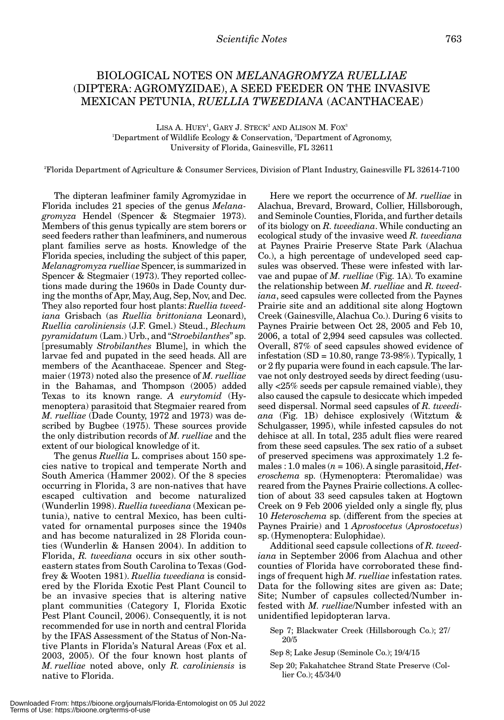## BIOLOGICAL NOTES ON *MELANAGROMYZA RUELLIAE* (DIPTERA: AGROMYZIDAE), A SEED FEEDER ON THE INVASIVE MEXICAN PETUNIA, *RUELLIA TWEEDIANA* (ACANTHACEAE)

LISA A. HUEY<sup>1</sup>, GARY J. STECK<sup>2</sup> AND ALISON M. FOX<sup>3</sup> 1 Department of Wildlife Ecology & Conservation, 3 Department of Agronomy, University of Florida, Gainesville, FL 32611

2 Florida Department of Agriculture & Consumer Services, Division of Plant Industry, Gainesville FL 32614-7100

The dipteran leafminer family Agromyzidae in Florida includes 21 species of the genus *Melanagromyza* Hendel (Spencer & Stegmaier 1973). Members of this genus typically are stem borers or seed feeders rather than leafminers, and numerous plant families serve as hosts. Knowledge of the Florida species, including the subject of this paper, *Melanagromyza ruelliae* Spencer, is summarized in Spencer & Stegmaier (1973). They reported collections made during the 1960s in Dade County during the months of Apr, May, Aug, Sep, Nov, and Dec. They also reported four host plants: *Ruellia tweediana* Grisbach (as *Ruellia brittoniana* Leonard), *Ruellia caroliniensis* (J.F. Gmel.) Steud., *Blechum pyramidatum* (Lam.) Urb., and "*Stroebilanthes*" sp. [presumably *Strobilanthes* Blume], in which the larvae fed and pupated in the seed heads. All are members of the Acanthaceae. Spencer and Stegmaier (1973) noted also the presence of *M. ruelliae* in the Bahamas, and Thompson (2005) added Texas to its known range. *A eurytomid* (Hymenoptera) parasitoid that Stegmaier reared from *M. ruelliae* (Dade County, 1972 and 1973) was described by Bugbee (1975). These sources provide the only distribution records of *M. ruelliae* and the extent of our biological knowledge of it.

The genus *Ruellia* L. comprises about 150 species native to tropical and temperate North and South America (Hammer 2002). Of the 8 species occurring in Florida, 3 are non-natives that have escaped cultivation and become naturalized (Wunderlin 1998). *Ruellia tweediana* (Mexican petunia), native to central Mexico, has been cultivated for ornamental purposes since the 1940s and has become naturalized in 28 Florida counties (Wunderlin & Hansen 2004). In addition to Florida, *R. tweediana* occurs in six other southeastern states from South Carolina to Texas (Godfrey & Wooten 1981). *Ruellia tweediana* is considered by the Florida Exotic Pest Plant Council to be an invasive species that is altering native plant communities (Category I, Florida Exotic Pest Plant Council, 2006). Consequently, it is not recommended for use in north and central Florida by the IFAS Assessment of the Status of Non-Native Plants in Florida's Natural Areas (Fox et al. 2003, 2005). Of the four known host plants of *M. ruelliae* noted above, only *R. caroliniensis* is native to Florida.

Here we report the occurrence of *M. ruelliae* in Alachua, Brevard, Broward, Collier, Hillsborough, and Seminole Counties, Florida, and further details of its biology on *R. tweediana*. While conducting an ecological study of the invasive weed *R. tweediana* at Paynes Prairie Preserve State Park (Alachua Co.), a high percentage of undeveloped seed capsules was observed. These were infested with larvae and pupae of *M. ruelliae* (Fig. 1A). To examine the relationship between *M. ruelliae* and *R. tweediana*, seed capsules were collected from the Paynes Prairie site and an additional site along Hogtown Creek (Gainesville, Alachua Co.). During 6 visits to Paynes Prairie between Oct 28, 2005 and Feb 10, 2006, a total of 2,994 seed capsules was collected. Overall, 87% of seed capsules showed evidence of infestation  $(SD = 10.80$ , range 73-98%). Typically, 1 or 2 fly puparia were found in each capsule. The larvae not only destroyed seeds by direct feeding (usually <25% seeds per capsule remained viable), they also caused the capsule to desiccate which impeded seed dispersal. Normal seed capsules of *R. tweediana* (Fig. 1B) dehisce explosively (Witztum & Schulgasser, 1995), while infested capsules do not dehisce at all. In total, 235 adult flies were reared from these seed capsules. The sex ratio of a subset of preserved specimens was approximately 1.2 females : 1.0 males (*n* = 106). A single parasitoid, *Heteroschema* sp. (Hymenoptera: Pteromalidae) was reared from the Paynes Prairie collections. A collection of about 33 seed capsules taken at Hogtown Creek on 9 Feb 2006 yielded only a single fly, plus 10 *Heteroschema* sp. (different from the species at Paynes Prairie) and 1 *Aprostocetus* (*Aprostocetus*) sp. (Hymenoptera: Eulophidae).

Additional seed capsule collections of *R. tweediana* in September 2006 from Alachua and other counties of Florida have corroborated these findings of frequent high *M. ruelliae* infestation rates. Data for the following sites are given as: Date; Site; Number of capsules collected/Number infested with *M. ruelliae*/Number infested with an unidentified lepidopteran larva.

- Sep 7; Blackwater Creek (Hillsborough Co.); 27/ 20/5
- Sep 8; Lake Jesup (Seminole Co.); 19/4/15
- Sep 20; Fakahatchee Strand State Preserve (Collier Co.); 45/34/0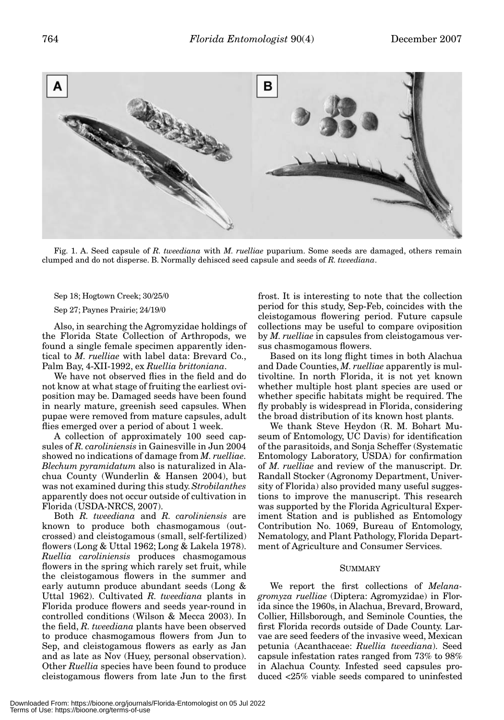

Fig. 1. A. Seed capsule of *R. tweediana* with *M. ruelliae* puparium. Some seeds are damaged, others remain clumped and do not disperse. B. Normally dehisced seed capsule and seeds of *R. tweediana*.

Sep 18; Hogtown Creek; 30/25/0

#### Sep 27; Paynes Prairie; 24/19/0

Also, in searching the Agromyzidae holdings of the Florida State Collection of Arthropods, we found a single female specimen apparently identical to *M. ruelliae* with label data: Brevard Co., Palm Bay, 4-XII-1992, ex *Ruellia brittoniana*.

We have not observed flies in the field and do not know at what stage of fruiting the earliest oviposition may be. Damaged seeds have been found in nearly mature, greenish seed capsules. When pupae were removed from mature capsules, adult flies emerged over a period of about 1 week.

A collection of approximately 100 seed capsules of *R. caroliniensis* in Gainesville in Jun 2004 showed no indications of damage from *M. ruelliae*. *Blechum pyramidatum* also is naturalized in Alachua County (Wunderlin & Hansen 2004), but was not examined during this study. *Strobilanthes* apparently does not occur outside of cultivation in Florida (USDA-NRCS, 2007).

Both *R. tweediana* and *R. caroliniensis* are known to produce both chasmogamous (outcrossed) and cleistogamous (small, self-fertilized) flowers (Long & Uttal 1962; Long & Lakela 1978). *Ruellia caroliniensis* produces chasmogamous flowers in the spring which rarely set fruit, while the cleistogamous flowers in the summer and early autumn produce abundant seeds (Long & Uttal 1962). Cultivated *R. tweediana* plants in Florida produce flowers and seeds year-round in controlled conditions (Wilson & Mecca 2003). In the field, *R. tweediana* plants have been observed to produce chasmogamous flowers from Jun to Sep, and cleistogamous flowers as early as Jan and as late as Nov (Huey, personal observation). Other *Ruellia* species have been found to produce cleistogamous flowers from late Jun to the first frost. It is interesting to note that the collection period for this study, Sep-Feb, coincides with the cleistogamous flowering period. Future capsule collections may be useful to compare oviposition by *M. ruelliae* in capsules from cleistogamous versus chasmogamous flowers.

Based on its long flight times in both Alachua and Dade Counties, *M. ruelliae* apparently is multivoltine. In north Florida, it is not yet known whether multiple host plant species are used or whether specific habitats might be required. The fly probably is widespread in Florida, considering the broad distribution of its known host plants.

We thank Steve Heydon (R. M. Bohart Museum of Entomology, UC Davis) for identification of the parasitoids, and Sonja Scheffer (Systematic Entomology Laboratory, USDA) for confirmation of *M. ruelliae* and review of the manuscript. Dr. Randall Stocker (Agronomy Department, University of Florida) also provided many useful suggestions to improve the manuscript. This research was supported by the Florida Agricultural Experiment Station and is published as Entomology Contribution No. 1069, Bureau of Entomology, Nematology, and Plant Pathology, Florida Department of Agriculture and Consumer Services.

### SUMMARY

We report the first collections of *Melanagromyza ruelliae* (Diptera: Agromyzidae) in Florida since the 1960s, in Alachua, Brevard, Broward, Collier, Hillsborough, and Seminole Counties, the first Florida records outside of Dade County. Larvae are seed feeders of the invasive weed, Mexican petunia (Acanthaceae: *Ruellia tweediana*). Seed capsule infestation rates ranged from 73% to 98% in Alachua County. Infested seed capsules produced <25% viable seeds compared to uninfested